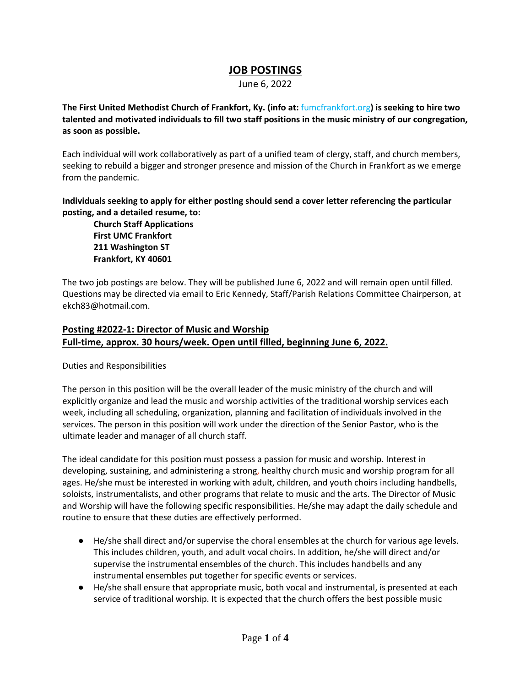# **JOB POSTINGS**

June 6, 2022

**The First United Methodist Church of Frankfort, Ky. (info at:** [fumcfrankfort.org](http://fumcfrankfort.org/)**) is seeking to hire two talented and motivated individuals to fill two staff positions in the music ministry of our congregation, as soon as possible.**

Each individual will work collaboratively as part of a unified team of clergy, staff, and church members, seeking to rebuild a bigger and stronger presence and mission of the Church in Frankfort as we emerge from the pandemic.

**Individuals seeking to apply for either posting should send a cover letter referencing the particular posting, and a detailed resume, to:**

**Church Staff Applications First UMC Frankfort 211 Washington ST Frankfort, KY 40601**

The two job postings are below. They will be published June 6, 2022 and will remain open until filled. Questions may be directed via email to Eric Kennedy, Staff/Parish Relations Committee Chairperson, at ekch83@hotmail.com.

## **Posting #2022-1: Director of Music and Worship Full-time, approx. 30 hours/week. Open until filled, beginning June 6, 2022.**

Duties and Responsibilities

The person in this position will be the overall leader of the music ministry of the church and will explicitly organize and lead the music and worship activities of the traditional worship services each week, including all scheduling, organization, planning and facilitation of individuals involved in the services. The person in this position will work under the direction of the Senior Pastor, who is the ultimate leader and manager of all church staff.

The ideal candidate for this position must possess a passion for music and worship. Interest in developing, sustaining, and administering a strong, healthy church music and worship program for all ages. He/she must be interested in working with adult, children, and youth choirs including handbells, soloists, instrumentalists, and other programs that relate to music and the arts. The Director of Music and Worship will have the following specific responsibilities. He/she may adapt the daily schedule and routine to ensure that these duties are effectively performed.

- He/she shall direct and/or supervise the choral ensembles at the church for various age levels. This includes children, youth, and adult vocal choirs. In addition, he/she will direct and/or supervise the instrumental ensembles of the church. This includes handbells and any instrumental ensembles put together for specific events or services.
- He/she shall ensure that appropriate music, both vocal and instrumental, is presented at each service of traditional worship. It is expected that the church offers the best possible music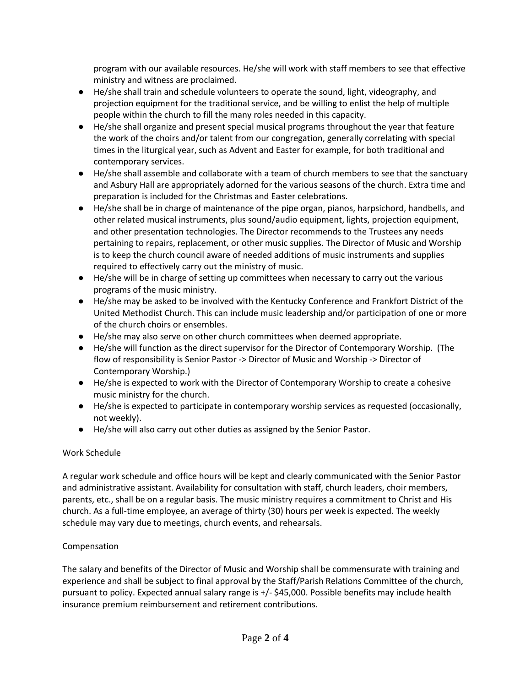program with our available resources. He/she will work with staff members to see that effective ministry and witness are proclaimed.

- He/she shall train and schedule volunteers to operate the sound, light, videography, and projection equipment for the traditional service, and be willing to enlist the help of multiple people within the church to fill the many roles needed in this capacity.
- He/she shall organize and present special musical programs throughout the year that feature the work of the choirs and/or talent from our congregation, generally correlating with special times in the liturgical year, such as Advent and Easter for example, for both traditional and contemporary services.
- He/she shall assemble and collaborate with a team of church members to see that the sanctuary and Asbury Hall are appropriately adorned for the various seasons of the church. Extra time and preparation is included for the Christmas and Easter celebrations.
- He/she shall be in charge of maintenance of the pipe organ, pianos, harpsichord, handbells, and other related musical instruments, plus sound/audio equipment, lights, projection equipment, and other presentation technologies. The Director recommends to the Trustees any needs pertaining to repairs, replacement, or other music supplies. The Director of Music and Worship is to keep the church council aware of needed additions of music instruments and supplies required to effectively carry out the ministry of music.
- He/she will be in charge of setting up committees when necessary to carry out the various programs of the music ministry.
- He/she may be asked to be involved with the Kentucky Conference and Frankfort District of the United Methodist Church. This can include music leadership and/or participation of one or more of the church choirs or ensembles.
- He/she may also serve on other church committees when deemed appropriate.
- He/she will function as the direct supervisor for the Director of Contemporary Worship. (The flow of responsibility is Senior Pastor -> Director of Music and Worship -> Director of Contemporary Worship.)
- He/she is expected to work with the Director of Contemporary Worship to create a cohesive music ministry for the church.
- He/she is expected to participate in contemporary worship services as requested (occasionally, not weekly).
- He/she will also carry out other duties as assigned by the Senior Pastor.

### Work Schedule

A regular work schedule and office hours will be kept and clearly communicated with the Senior Pastor and administrative assistant. Availability for consultation with staff, church leaders, choir members, parents, etc., shall be on a regular basis. The music ministry requires a commitment to Christ and His church. As a full-time employee, an average of thirty (30) hours per week is expected. The weekly schedule may vary due to meetings, church events, and rehearsals.

### Compensation

The salary and benefits of the Director of Music and Worship shall be commensurate with training and experience and shall be subject to final approval by the Staff/Parish Relations Committee of the church, pursuant to policy. Expected annual salary range is +/- \$45,000. Possible benefits may include health insurance premium reimbursement and retirement contributions.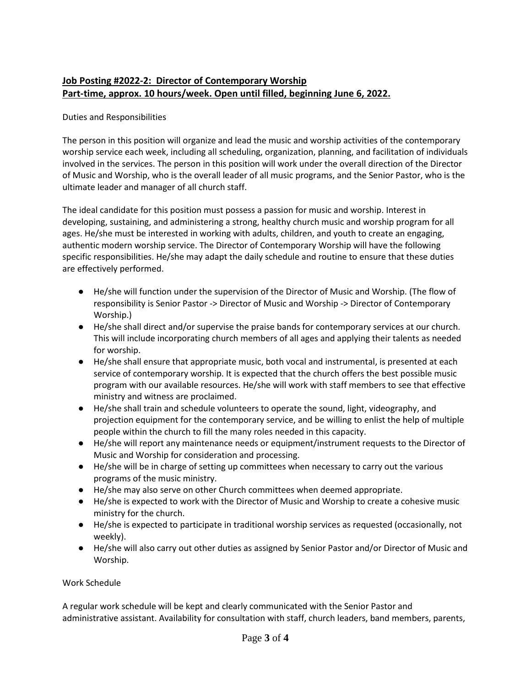# **Job Posting #2022-2: Director of Contemporary Worship Part-time, approx. 10 hours/week. Open until filled, beginning June 6, 2022.**

### Duties and Responsibilities

The person in this position will organize and lead the music and worship activities of the contemporary worship service each week, including all scheduling, organization, planning, and facilitation of individuals involved in the services. The person in this position will work under the overall direction of the Director of Music and Worship, who is the overall leader of all music programs, and the Senior Pastor, who is the ultimate leader and manager of all church staff.

The ideal candidate for this position must possess a passion for music and worship. Interest in developing, sustaining, and administering a strong, healthy church music and worship program for all ages. He/she must be interested in working with adults, children, and youth to create an engaging, authentic modern worship service. The Director of Contemporary Worship will have the following specific responsibilities. He/she may adapt the daily schedule and routine to ensure that these duties are effectively performed.

- He/she will function under the supervision of the Director of Music and Worship. (The flow of responsibility is Senior Pastor -> Director of Music and Worship -> Director of Contemporary Worship.)
- He/she shall direct and/or supervise the praise bands for contemporary services at our church. This will include incorporating church members of all ages and applying their talents as needed for worship.
- He/she shall ensure that appropriate music, both vocal and instrumental, is presented at each service of contemporary worship. It is expected that the church offers the best possible music program with our available resources. He/she will work with staff members to see that effective ministry and witness are proclaimed.
- He/she shall train and schedule volunteers to operate the sound, light, videography, and projection equipment for the contemporary service, and be willing to enlist the help of multiple people within the church to fill the many roles needed in this capacity.
- He/she will report any maintenance needs or equipment/instrument requests to the Director of Music and Worship for consideration and processing.
- He/she will be in charge of setting up committees when necessary to carry out the various programs of the music ministry.
- He/she may also serve on other Church committees when deemed appropriate.
- He/she is expected to work with the Director of Music and Worship to create a cohesive music ministry for the church.
- He/she is expected to participate in traditional worship services as requested (occasionally, not weekly).
- He/she will also carry out other duties as assigned by Senior Pastor and/or Director of Music and Worship.

#### Work Schedule

A regular work schedule will be kept and clearly communicated with the Senior Pastor and administrative assistant. Availability for consultation with staff, church leaders, band members, parents,